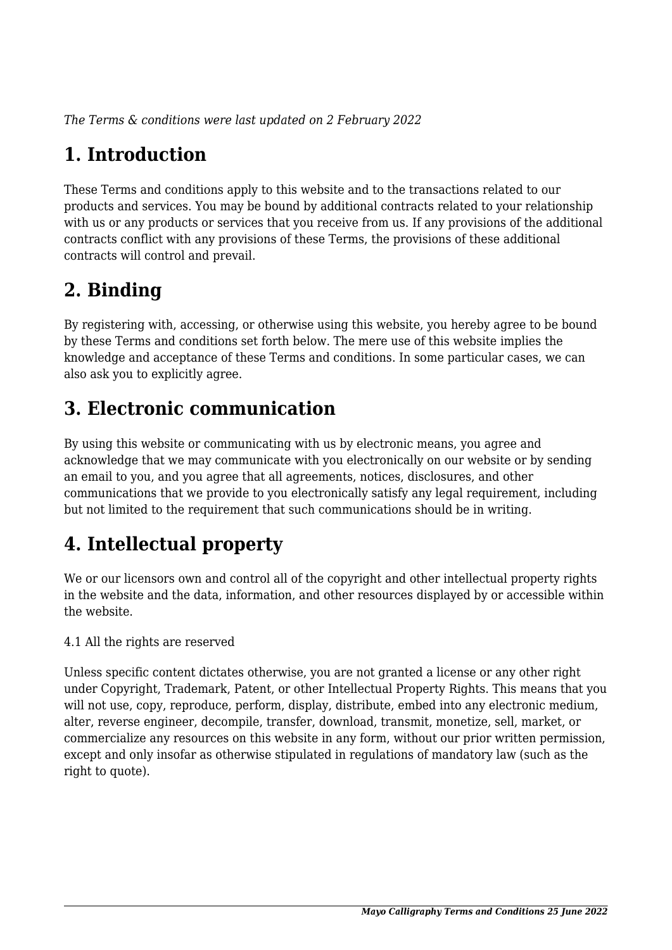*The Terms & conditions were last updated on 2 February 2022*

# **1. Introduction**

These Terms and conditions apply to this website and to the transactions related to our products and services. You may be bound by additional contracts related to your relationship with us or any products or services that you receive from us. If any provisions of the additional contracts conflict with any provisions of these Terms, the provisions of these additional contracts will control and prevail.

## **2. Binding**

By registering with, accessing, or otherwise using this website, you hereby agree to be bound by these Terms and conditions set forth below. The mere use of this website implies the knowledge and acceptance of these Terms and conditions. In some particular cases, we can also ask you to explicitly agree.

# **3. Electronic communication**

By using this website or communicating with us by electronic means, you agree and acknowledge that we may communicate with you electronically on our website or by sending an email to you, and you agree that all agreements, notices, disclosures, and other communications that we provide to you electronically satisfy any legal requirement, including but not limited to the requirement that such communications should be in writing.

# **4. Intellectual property**

We or our licensors own and control all of the copyright and other intellectual property rights in the website and the data, information, and other resources displayed by or accessible within the website.

4.1 All the rights are reserved

Unless specific content dictates otherwise, you are not granted a license or any other right under Copyright, Trademark, Patent, or other Intellectual Property Rights. This means that you will not use, copy, reproduce, perform, display, distribute, embed into any electronic medium, alter, reverse engineer, decompile, transfer, download, transmit, monetize, sell, market, or commercialize any resources on this website in any form, without our prior written permission, except and only insofar as otherwise stipulated in regulations of mandatory law (such as the right to quote).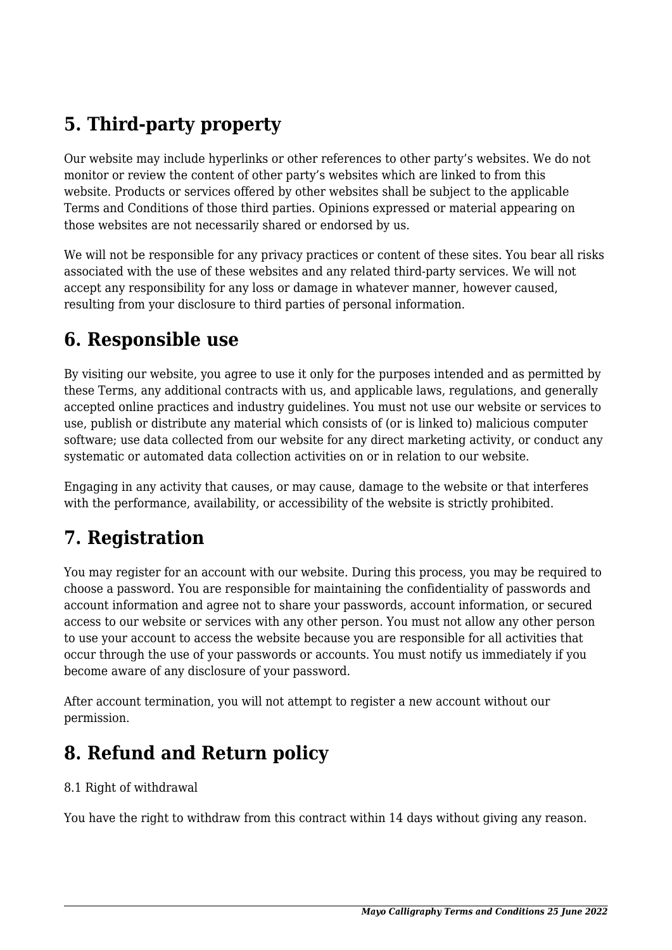# **5. Third-party property**

Our website may include hyperlinks or other references to other party's websites. We do not monitor or review the content of other party's websites which are linked to from this website. Products or services offered by other websites shall be subject to the applicable Terms and Conditions of those third parties. Opinions expressed or material appearing on those websites are not necessarily shared or endorsed by us.

We will not be responsible for any privacy practices or content of these sites. You bear all risks associated with the use of these websites and any related third-party services. We will not accept any responsibility for any loss or damage in whatever manner, however caused, resulting from your disclosure to third parties of personal information.

#### **6. Responsible use**

By visiting our website, you agree to use it only for the purposes intended and as permitted by these Terms, any additional contracts with us, and applicable laws, regulations, and generally accepted online practices and industry guidelines. You must not use our website or services to use, publish or distribute any material which consists of (or is linked to) malicious computer software; use data collected from our website for any direct marketing activity, or conduct any systematic or automated data collection activities on or in relation to our website.

Engaging in any activity that causes, or may cause, damage to the website or that interferes with the performance, availability, or accessibility of the website is strictly prohibited.

#### **7. Registration**

You may register for an account with our website. During this process, you may be required to choose a password. You are responsible for maintaining the confidentiality of passwords and account information and agree not to share your passwords, account information, or secured access to our website or services with any other person. You must not allow any other person to use your account to access the website because you are responsible for all activities that occur through the use of your passwords or accounts. You must notify us immediately if you become aware of any disclosure of your password.

After account termination, you will not attempt to register a new account without our permission.

#### **8. Refund and Return policy**

#### 8.1 Right of withdrawal

You have the right to withdraw from this contract within 14 days without giving any reason.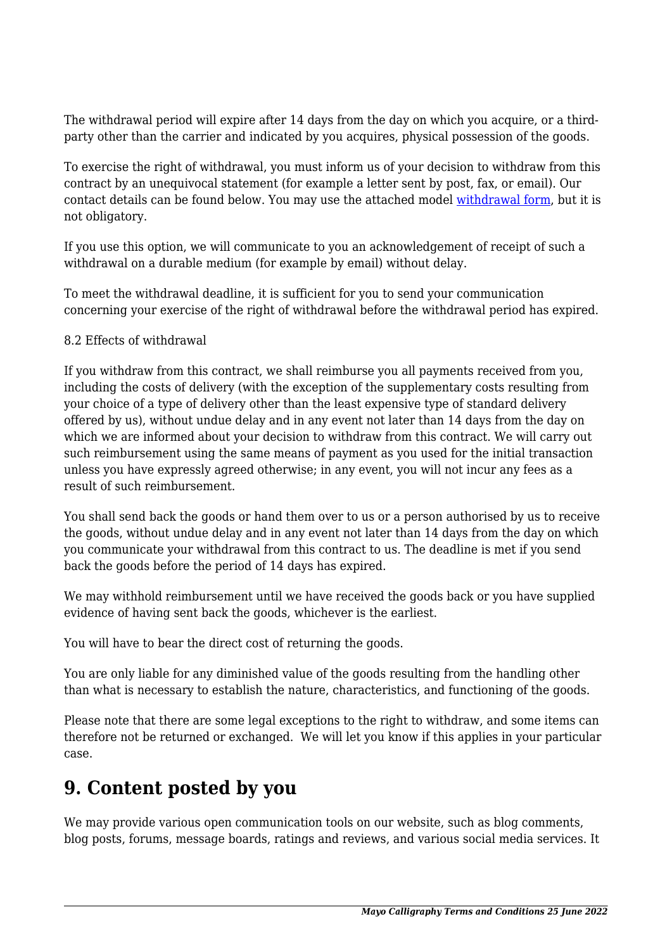The withdrawal period will expire after 14 days from the day on which you acquire, or a thirdparty other than the carrier and indicated by you acquires, physical possession of the goods.

To exercise the right of withdrawal, you must inform us of your decision to withdraw from this contract by an unequivocal statement (for example a letter sent by post, fax, or email). Our contact details can be found below. You may use the attached model [withdrawal form](https://mayocalligraphy.com/wp-content/uploads/complianz/withdrawal-forms/withdrawal-form-en.pdf), but it is not obligatory.

If you use this option, we will communicate to you an acknowledgement of receipt of such a withdrawal on a durable medium (for example by email) without delay.

To meet the withdrawal deadline, it is sufficient for you to send your communication concerning your exercise of the right of withdrawal before the withdrawal period has expired.

#### 8.2 Effects of withdrawal

If you withdraw from this contract, we shall reimburse you all payments received from you, including the costs of delivery (with the exception of the supplementary costs resulting from your choice of a type of delivery other than the least expensive type of standard delivery offered by us), without undue delay and in any event not later than 14 days from the day on which we are informed about your decision to withdraw from this contract. We will carry out such reimbursement using the same means of payment as you used for the initial transaction unless you have expressly agreed otherwise; in any event, you will not incur any fees as a result of such reimbursement.

You shall send back the goods or hand them over to us or a person authorised by us to receive the goods, without undue delay and in any event not later than 14 days from the day on which you communicate your withdrawal from this contract to us. The deadline is met if you send back the goods before the period of 14 days has expired.

We may withhold reimbursement until we have received the goods back or you have supplied evidence of having sent back the goods, whichever is the earliest.

You will have to bear the direct cost of returning the goods.

You are only liable for any diminished value of the goods resulting from the handling other than what is necessary to establish the nature, characteristics, and functioning of the goods.

Please note that there are some legal exceptions to the right to withdraw, and some items can therefore not be returned or exchanged. We will let you know if this applies in your particular case.

#### **9. Content posted by you**

We may provide various open communication tools on our website, such as blog comments, blog posts, forums, message boards, ratings and reviews, and various social media services. It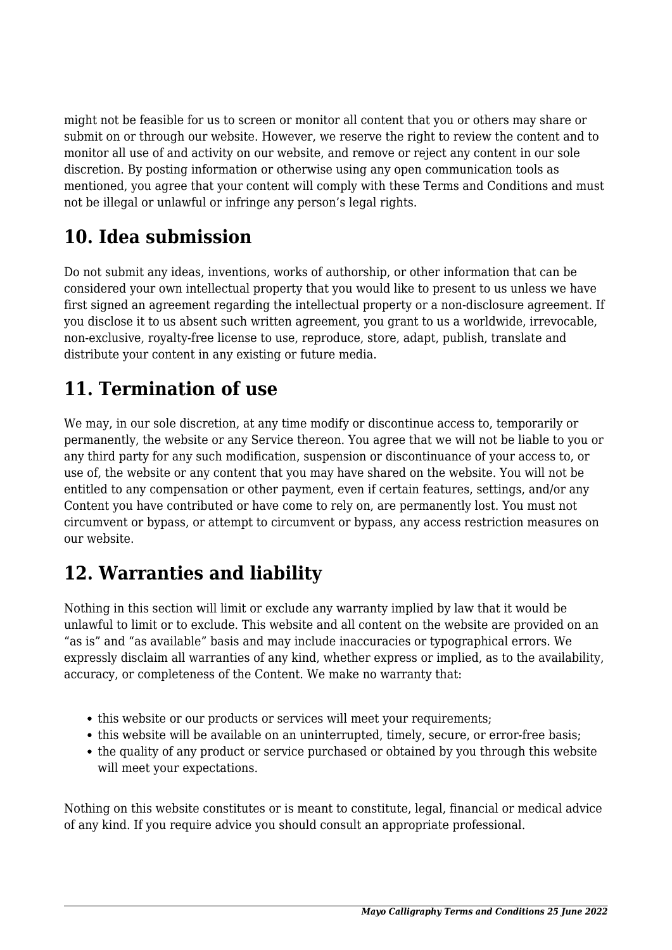might not be feasible for us to screen or monitor all content that you or others may share or submit on or through our website. However, we reserve the right to review the content and to monitor all use of and activity on our website, and remove or reject any content in our sole discretion. By posting information or otherwise using any open communication tools as mentioned, you agree that your content will comply with these Terms and Conditions and must not be illegal or unlawful or infringe any person's legal rights.

# **10. Idea submission**

Do not submit any ideas, inventions, works of authorship, or other information that can be considered your own intellectual property that you would like to present to us unless we have first signed an agreement regarding the intellectual property or a non-disclosure agreement. If you disclose it to us absent such written agreement, you grant to us a worldwide, irrevocable, non-exclusive, royalty-free license to use, reproduce, store, adapt, publish, translate and distribute your content in any existing or future media.

## **11. Termination of use**

We may, in our sole discretion, at any time modify or discontinue access to, temporarily or permanently, the website or any Service thereon. You agree that we will not be liable to you or any third party for any such modification, suspension or discontinuance of your access to, or use of, the website or any content that you may have shared on the website. You will not be entitled to any compensation or other payment, even if certain features, settings, and/or any Content you have contributed or have come to rely on, are permanently lost. You must not circumvent or bypass, or attempt to circumvent or bypass, any access restriction measures on our website.

## **12. Warranties and liability**

Nothing in this section will limit or exclude any warranty implied by law that it would be unlawful to limit or to exclude. This website and all content on the website are provided on an "as is" and "as available" basis and may include inaccuracies or typographical errors. We expressly disclaim all warranties of any kind, whether express or implied, as to the availability, accuracy, or completeness of the Content. We make no warranty that:

- this website or our products or services will meet your requirements;
- this website will be available on an uninterrupted, timely, secure, or error-free basis;
- the quality of any product or service purchased or obtained by you through this website will meet your expectations.

Nothing on this website constitutes or is meant to constitute, legal, financial or medical advice of any kind. If you require advice you should consult an appropriate professional.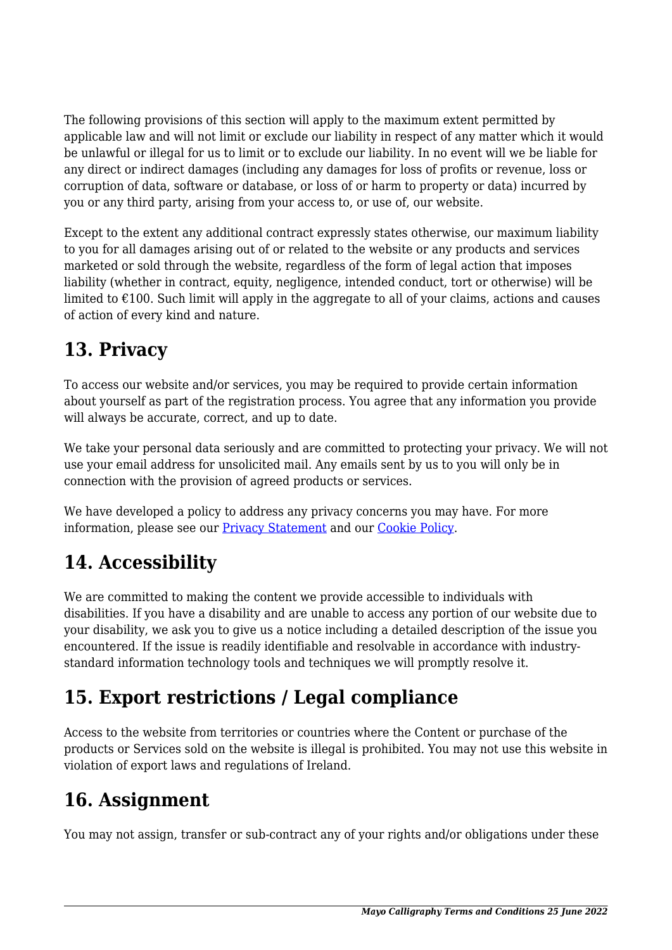The following provisions of this section will apply to the maximum extent permitted by applicable law and will not limit or exclude our liability in respect of any matter which it would be unlawful or illegal for us to limit or to exclude our liability. In no event will we be liable for any direct or indirect damages (including any damages for loss of profits or revenue, loss or corruption of data, software or database, or loss of or harm to property or data) incurred by you or any third party, arising from your access to, or use of, our website.

Except to the extent any additional contract expressly states otherwise, our maximum liability to you for all damages arising out of or related to the website or any products and services marketed or sold through the website, regardless of the form of legal action that imposes liability (whether in contract, equity, negligence, intended conduct, tort or otherwise) will be limited to  $\epsilon$ 100. Such limit will apply in the aggregate to all of your claims, actions and causes of action of every kind and nature.

### **13. Privacy**

To access our website and/or services, you may be required to provide certain information about yourself as part of the registration process. You agree that any information you provide will always be accurate, correct, and up to date.

We take your personal data seriously and are committed to protecting your privacy. We will not use your email address for unsolicited mail. Any emails sent by us to you will only be in connection with the provision of agreed products or services.

We have developed a policy to address any privacy concerns you may have. For more information, please see our [Privacy Statement](https://mayocalligraphy.com/?page_id=3) and our [Cookie Policy](https://mayocalligraphy.com/?page_id=3).

## **14. Accessibility**

We are committed to making the content we provide accessible to individuals with disabilities. If you have a disability and are unable to access any portion of our website due to your disability, we ask you to give us a notice including a detailed description of the issue you encountered. If the issue is readily identifiable and resolvable in accordance with industrystandard information technology tools and techniques we will promptly resolve it.

# **15. Export restrictions / Legal compliance**

Access to the website from territories or countries where the Content or purchase of the products or Services sold on the website is illegal is prohibited. You may not use this website in violation of export laws and regulations of Ireland.

#### **16. Assignment**

You may not assign, transfer or sub-contract any of your rights and/or obligations under these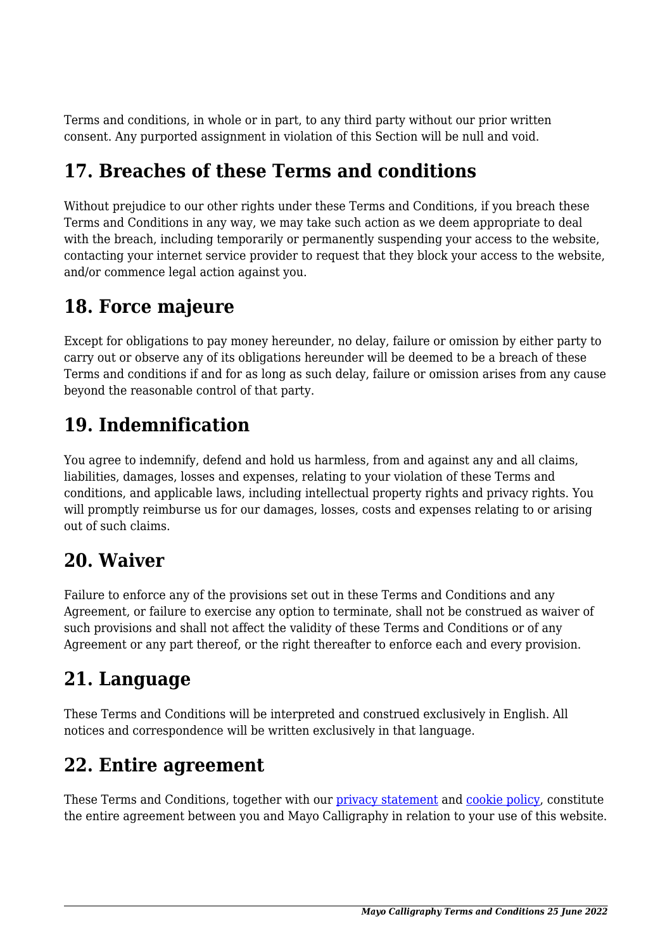Terms and conditions, in whole or in part, to any third party without our prior written consent. Any purported assignment in violation of this Section will be null and void.

### **17. Breaches of these Terms and conditions**

Without prejudice to our other rights under these Terms and Conditions, if you breach these Terms and Conditions in any way, we may take such action as we deem appropriate to deal with the breach, including temporarily or permanently suspending your access to the website, contacting your internet service provider to request that they block your access to the website, and/or commence legal action against you.

#### **18. Force majeure**

Except for obligations to pay money hereunder, no delay, failure or omission by either party to carry out or observe any of its obligations hereunder will be deemed to be a breach of these Terms and conditions if and for as long as such delay, failure or omission arises from any cause beyond the reasonable control of that party.

## **19. Indemnification**

You agree to indemnify, defend and hold us harmless, from and against any and all claims, liabilities, damages, losses and expenses, relating to your violation of these Terms and conditions, and applicable laws, including intellectual property rights and privacy rights. You will promptly reimburse us for our damages, losses, costs and expenses relating to or arising out of such claims.

#### **20. Waiver**

Failure to enforce any of the provisions set out in these Terms and Conditions and any Agreement, or failure to exercise any option to terminate, shall not be construed as waiver of such provisions and shall not affect the validity of these Terms and Conditions or of any Agreement or any part thereof, or the right thereafter to enforce each and every provision.

## **21. Language**

These Terms and Conditions will be interpreted and construed exclusively in English. All notices and correspondence will be written exclusively in that language.

#### **22. Entire agreement**

These Terms and Conditions, together with our [privacy statement](https://mayocalligraphy.com/?page_id=3) and [cookie policy,](https://mayocalligraphy.com/?page_id=3) constitute the entire agreement between you and Mayo Calligraphy in relation to your use of this website.